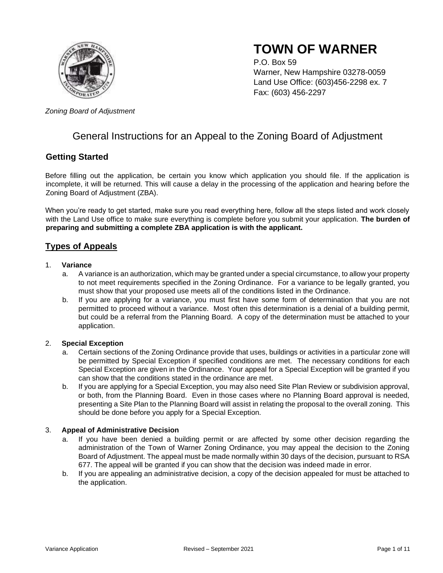

# **TOWN OF WARNER**

P.O. Box 59 Warner, New Hampshire 03278-0059 Land Use Office: (603)456-2298 ex. 7 Fax: (603) 456-2297

*Zoning Board of Adjustment*

## General Instructions for an Appeal to the Zoning Board of Adjustment

## **Getting Started**

Before filling out the application, be certain you know which application you should file. If the application is incomplete, it will be returned. This will cause a delay in the processing of the application and hearing before the Zoning Board of Adjustment (ZBA).

When you're ready to get started, make sure you read everything here, follow all the steps listed and work closely with the Land Use office to make sure everything is complete before you submit your application. **The burden of preparing and submitting a complete ZBA application is with the applicant.** 

## **Types of Appeals**

#### 1. **Variance**

- a. A variance is an authorization, which may be granted under a special circumstance, to allow your property to not meet requirements specified in the Zoning Ordinance. For a variance to be legally granted, you must show that your proposed use meets all of the conditions listed in the Ordinance.
- b. If you are applying for a variance, you must first have some form of determination that you are not permitted to proceed without a variance. Most often this determination is a denial of a building permit, but could be a referral from the Planning Board. A copy of the determination must be attached to your application.

#### 2. **Special Exception**

- a. Certain sections of the Zoning Ordinance provide that uses, buildings or activities in a particular zone will be permitted by Special Exception if specified conditions are met. The necessary conditions for each Special Exception are given in the Ordinance. Your appeal for a Special Exception will be granted if you can show that the conditions stated in the ordinance are met.
- b. If you are applying for a Special Exception, you may also need Site Plan Review or subdivision approval, or both, from the Planning Board. Even in those cases where no Planning Board approval is needed, presenting a Site Plan to the Planning Board will assist in relating the proposal to the overall zoning. This should be done before you apply for a Special Exception.

#### 3. **Appeal of Administrative Decision**

- a. If you have been denied a building permit or are affected by some other decision regarding the administration of the Town of Warner Zoning Ordinance, you may appeal the decision to the Zoning Board of Adjustment. The appeal must be made normally within 30 days of the decision, pursuant to RSA 677. The appeal will be granted if you can show that the decision was indeed made in error.
- b. If you are appealing an administrative decision, a copy of the decision appealed for must be attached to the application.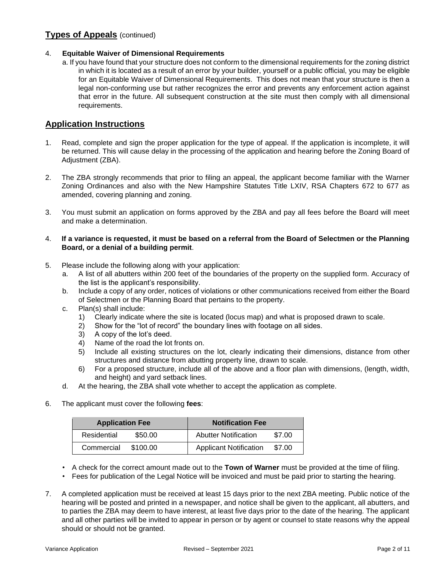## **Types of Appeals** (continued)

#### 4. **Equitable Waiver of Dimensional Requirements**

a. If you have found that your structure does not conform to the dimensional requirements for the zoning district in which it is located as a result of an error by your builder, yourself or a public official, you may be eligible for an Equitable Waiver of Dimensional Requirements. This does not mean that your structure is then a legal non-conforming use but rather recognizes the error and prevents any enforcement action against that error in the future. All subsequent construction at the site must then comply with all dimensional requirements.

### **Application Instructions**

- 1. Read, complete and sign the proper application for the type of appeal. If the application is incomplete, it will be returned. This will cause delay in the processing of the application and hearing before the Zoning Board of Adjustment (ZBA).
- 2. The ZBA strongly recommends that prior to filing an appeal, the applicant become familiar with the Warner Zoning Ordinances and also with the New Hampshire Statutes Title LXIV, RSA Chapters 672 to 677 as amended, covering planning and zoning.
- 3. You must submit an application on forms approved by the ZBA and pay all fees before the Board will meet and make a determination.

#### 4. **If a variance is requested, it must be based on a referral from the Board of Selectmen or the Planning Board, or a denial of a building permit**.

- 5. Please include the following along with your application:
	- a. A list of all abutters within 200 feet of the boundaries of the property on the supplied form. Accuracy of the list is the applicant's responsibility.
	- b. Include a copy of any order, notices of violations or other communications received from either the Board of Selectmen or the Planning Board that pertains to the property.
	- c. Plan(s) shall include:
		- 1) Clearly indicate where the site is located (locus map) and what is proposed drawn to scale.
		- 2) Show for the "lot of record" the boundary lines with footage on all sides.
		- 3) A copy of the lot's deed.
		- 4) Name of the road the lot fronts on.
		- 5) Include all existing structures on the lot, clearly indicating their dimensions, distance from other structures and distance from abutting property line, drawn to scale.
		- 6) For a proposed structure, include all of the above and a floor plan with dimensions, (length, width, and height) and yard setback lines.
	- d. At the hearing, the ZBA shall vote whether to accept the application as complete.
- 6. The applicant must cover the following **fees**:

| <b>Application Fee</b> |          | <b>Notification Fee</b>       |        |
|------------------------|----------|-------------------------------|--------|
| Residential            | \$50.00  | <b>Abutter Notification</b>   | \$7.00 |
| Commercial             | \$100.00 | <b>Applicant Notification</b> | \$7.00 |

• A check for the correct amount made out to the **Town of Warner** must be provided at the time of filing.

- Fees for publication of the Legal Notice will be invoiced and must be paid prior to starting the hearing.
- 7. A completed application must be received at least 15 days prior to the next ZBA meeting. Public notice of the hearing will be posted and printed in a newspaper, and notice shall be given to the applicant, all abutters, and to parties the ZBA may deem to have interest, at least five days prior to the date of the hearing. The applicant and all other parties will be invited to appear in person or by agent or counsel to state reasons why the appeal should or should not be granted.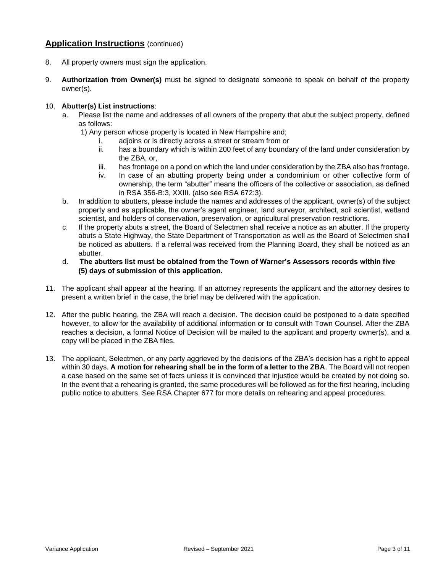### **Application Instructions** (continued)

- 8. All property owners must sign the application.
- 9. **Authorization from Owner(s)** must be signed to designate someone to speak on behalf of the property owner(s).

#### 10. **Abutter(s) List instructions**:

- a. Please list the name and addresses of all owners of the property that abut the subject property, defined as follows:
	- 1) Any person whose property is located in New Hampshire and;
		- i. adjoins or is directly across a street or stream from or
		- ii. has a boundary which is within 200 feet of any boundary of the land under consideration by the ZBA, or,
		- iii. has frontage on a pond on which the land under consideration by the ZBA also has frontage.
		- iv. In case of an abutting property being under a condominium or other collective form of ownership, the term "abutter" means the officers of the collective or association, as defined in RSA 356-B:3, XXIII. (also see RSA 672:3).
- b. In addition to abutters, please include the names and addresses of the applicant, owner(s) of the subject property and as applicable, the owner's agent engineer, land surveyor, architect, soil scientist, wetland scientist, and holders of conservation, preservation, or agricultural preservation restrictions.
- c. If the property abuts a street, the Board of Selectmen shall receive a notice as an abutter. If the property abuts a State Highway, the State Department of Transportation as well as the Board of Selectmen shall be noticed as abutters. If a referral was received from the Planning Board, they shall be noticed as an abutter.
- d. **The abutters list must be obtained from the Town of Warner's Assessors records within five (5) days of submission of this application.**
- 11. The applicant shall appear at the hearing. If an attorney represents the applicant and the attorney desires to present a written brief in the case, the brief may be delivered with the application.
- 12. After the public hearing, the ZBA will reach a decision. The decision could be postponed to a date specified however, to allow for the availability of additional information or to consult with Town Counsel. After the ZBA reaches a decision, a formal Notice of Decision will be mailed to the applicant and property owner(s), and a copy will be placed in the ZBA files.
- 13. The applicant, Selectmen, or any party aggrieved by the decisions of the ZBA's decision has a right to appeal within 30 days. **A motion for rehearing shall be in the form of a letter to the ZBA**. The Board will not reopen a case based on the same set of facts unless it is convinced that injustice would be created by not doing so. In the event that a rehearing is granted, the same procedures will be followed as for the first hearing, including public notice to abutters. See RSA Chapter 677 for more details on rehearing and appeal procedures.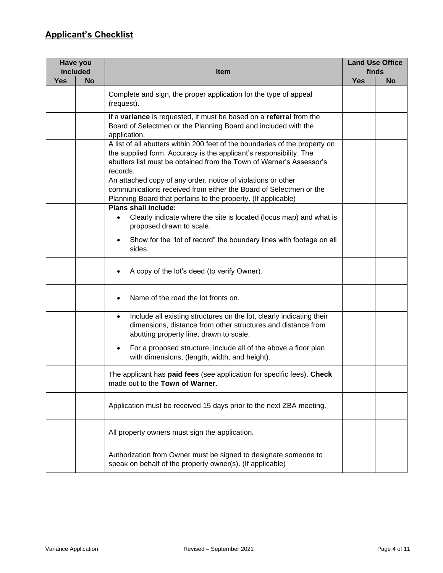## **Applicant's Checklist**

| Have you<br>included |           | <b>Item</b>                                                                                                                                                                                                                          | <b>Land Use Office</b><br>finds |           |
|----------------------|-----------|--------------------------------------------------------------------------------------------------------------------------------------------------------------------------------------------------------------------------------------|---------------------------------|-----------|
| <b>Yes</b>           | <b>No</b> |                                                                                                                                                                                                                                      |                                 | <b>No</b> |
|                      |           | Complete and sign, the proper application for the type of appeal<br>(request).                                                                                                                                                       |                                 |           |
|                      |           | If a variance is requested, it must be based on a referral from the<br>Board of Selectmen or the Planning Board and included with the<br>application.                                                                                |                                 |           |
|                      |           | A list of all abutters within 200 feet of the boundaries of the property on<br>the supplied form. Accuracy is the applicant's responsibility. The<br>abutters list must be obtained from the Town of Warner's Assessor's<br>records. |                                 |           |
|                      |           | An attached copy of any order, notice of violations or other<br>communications received from either the Board of Selectmen or the<br>Planning Board that pertains to the property. (If applicable)                                   |                                 |           |
|                      |           | Plans shall include:<br>Clearly indicate where the site is located (locus map) and what is<br>$\bullet$<br>proposed drawn to scale.                                                                                                  |                                 |           |
|                      |           | Show for the "lot of record" the boundary lines with footage on all<br>$\bullet$<br>sides.                                                                                                                                           |                                 |           |
|                      |           | A copy of the lot's deed (to verify Owner).                                                                                                                                                                                          |                                 |           |
|                      |           | Name of the road the lot fronts on.                                                                                                                                                                                                  |                                 |           |
|                      |           | Include all existing structures on the lot, clearly indicating their<br>$\bullet$<br>dimensions, distance from other structures and distance from<br>abutting property line, drawn to scale.                                         |                                 |           |
|                      |           | For a proposed structure, include all of the above a floor plan<br>$\bullet$<br>with dimensions, (length, width, and height).                                                                                                        |                                 |           |
|                      |           | The applicant has paid fees (see application for specific fees). Check<br>made out to the Town of Warner.                                                                                                                            |                                 |           |
|                      |           | Application must be received 15 days prior to the next ZBA meeting.                                                                                                                                                                  |                                 |           |
|                      |           | All property owners must sign the application.                                                                                                                                                                                       |                                 |           |
|                      |           | Authorization from Owner must be signed to designate someone to<br>speak on behalf of the property owner(s). (If applicable)                                                                                                         |                                 |           |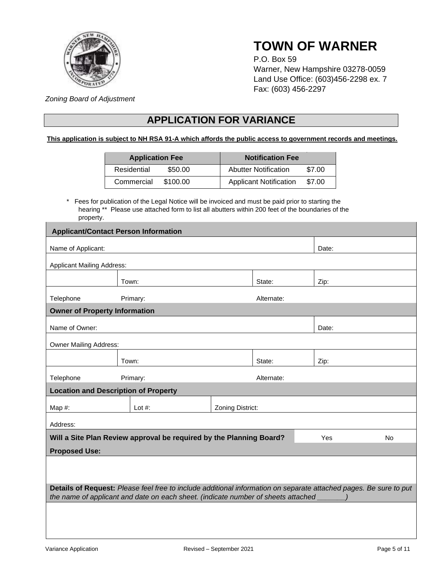

# **TOWN OF WARNER**

P.O. Box 59 Warner, New Hampshire 03278-0059 Land Use Office: (603)456-2298 ex. 7 Fax: (603) 456-2297

*Zoning Board of Adjustment* 

## **APPLICATION FOR VARIANCE**

#### **This application is subject to NH RSA 91-A which affords the public access to government records and meetings.**

| <b>Application Fee</b> |          | <b>Notification Fee</b>       |        |  |
|------------------------|----------|-------------------------------|--------|--|
| Residential            | \$50.00  | <b>Abutter Notification</b>   | \$7.00 |  |
| Commercial             | \$100.00 | <b>Applicant Notification</b> | \$7.00 |  |

\* Fees for publication of the Legal Notice will be invoiced and must be paid prior to starting the hearing \*\* Please use attached form to list all abutters within 200 feet of the boundaries of the property.

|                                                                                                                   | <b>Applicant/Contact Person Information</b>                                       |                  |            |       |           |
|-------------------------------------------------------------------------------------------------------------------|-----------------------------------------------------------------------------------|------------------|------------|-------|-----------|
| Name of Applicant:<br>Date:                                                                                       |                                                                                   |                  |            |       |           |
|                                                                                                                   |                                                                                   |                  |            |       |           |
| <b>Applicant Mailing Address:</b>                                                                                 |                                                                                   |                  |            |       |           |
|                                                                                                                   | Town:                                                                             |                  | State:     | Zip:  |           |
| Telephone                                                                                                         | Primary:                                                                          |                  | Alternate: |       |           |
| <b>Owner of Property Information</b>                                                                              |                                                                                   |                  |            |       |           |
| Name of Owner:                                                                                                    |                                                                                   |                  |            | Date: |           |
| <b>Owner Mailing Address:</b>                                                                                     |                                                                                   |                  |            |       |           |
|                                                                                                                   | Town:                                                                             |                  | State:     | Zip:  |           |
| Telephone                                                                                                         | Primary:                                                                          |                  | Alternate: |       |           |
| <b>Location and Description of Property</b>                                                                       |                                                                                   |                  |            |       |           |
| Map #:                                                                                                            | Lot $#$ :                                                                         | Zoning District: |            |       |           |
| Address:                                                                                                          |                                                                                   |                  |            |       |           |
|                                                                                                                   | Will a Site Plan Review approval be required by the Planning Board?               |                  |            | Yes   | <b>No</b> |
| <b>Proposed Use:</b>                                                                                              |                                                                                   |                  |            |       |           |
|                                                                                                                   |                                                                                   |                  |            |       |           |
|                                                                                                                   |                                                                                   |                  |            |       |           |
| Details of Request: Please feel free to include additional information on separate attached pages. Be sure to put |                                                                                   |                  |            |       |           |
|                                                                                                                   | the name of applicant and date on each sheet. (indicate number of sheets attached |                  |            |       |           |
|                                                                                                                   |                                                                                   |                  |            |       |           |
|                                                                                                                   |                                                                                   |                  |            |       |           |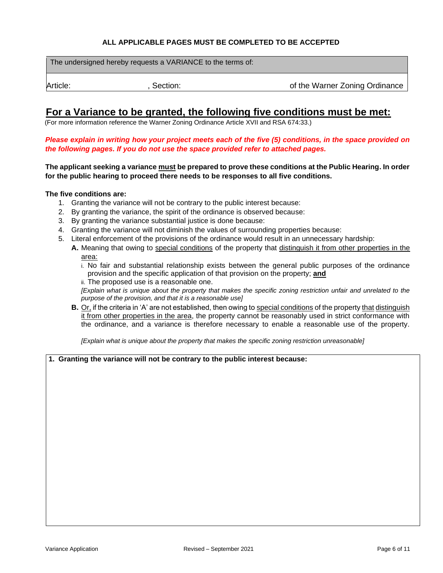#### **ALL APPLICABLE PAGES MUST BE COMPLETED TO BE ACCEPTED**

|          | The undersigned hereby requests a VARIANCE to the terms of: |                                |
|----------|-------------------------------------------------------------|--------------------------------|
| Article: | Section:                                                    | of the Warner Zoning Ordinance |
|          |                                                             |                                |

## **For a Variance to be granted, the following five conditions must be met:**

(For more information reference the Warner Zoning Ordinance Article XVII and RSA 674:33.)

*Please explain in writing how your project meets each of the five (5) conditions, in the space provided on the following pages. If you do not use the space provided refer to attached pages.*

**The applicant seeking a variance must be prepared to prove these conditions at the Public Hearing. In order for the public hearing to proceed there needs to be responses to all five conditions.**

#### **The five conditions are:**

- 1. Granting the variance will not be contrary to the public interest because:
- 2. By granting the variance, the spirit of the ordinance is observed because:
- 3. By granting the variance substantial justice is done because:
- 4. Granting the variance will not diminish the values of surrounding properties because:
- 5. Literal enforcement of the provisions of the ordinance would result in an unnecessary hardship:
	- **A.** Meaning that owing to special conditions of the property that distinguish it from other properties in the area:
		- i. No fair and substantial relationship exists between the general public purposes of the ordinance provision and the specific application of that provision on the property; **and**
		- ii. The proposed use is a reasonable one.

*[Explain what is unique about the property that makes the specific zoning restriction unfair and unrelated to the purpose of the provision, and that it is a reasonable use]*

**B.** Or, if the criteria in 'A' are not established, then owing to special conditions of the property that distinguish it from other properties in the area, the property cannot be reasonably used in strict conformance with the ordinance, and a variance is therefore necessary to enable a reasonable use of the property.

*[Explain what is unique about the property that makes the specific zoning restriction unreasonable]*

#### **1. Granting the variance will not be contrary to the public interest because:**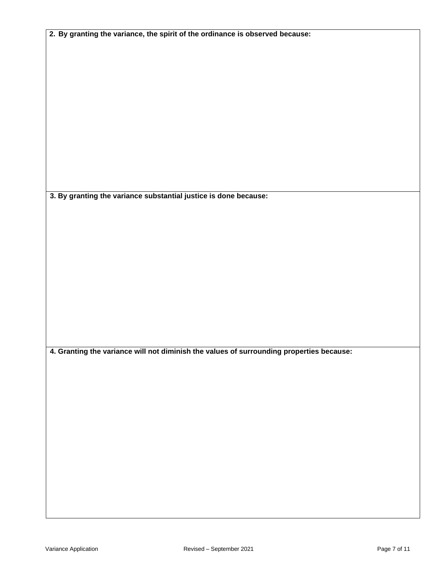|  |  |  |  |  | 2. By granting the variance, the spirit of the ordinance is observed because: |
|--|--|--|--|--|-------------------------------------------------------------------------------|
|--|--|--|--|--|-------------------------------------------------------------------------------|

**3. By granting the variance substantial justice is done because:** 

**4. Granting the variance will not diminish the values of surrounding properties because:**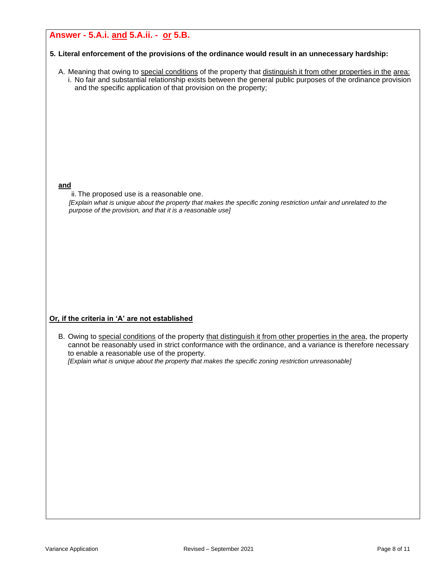## **Answer - 5.A.i. and 5.A.ii. - or 5.B.**

#### **5. Literal enforcement of the provisions of the ordinance would result in an unnecessary hardship:**

A. Meaning that owing to special conditions of the property that distinguish it from other properties in the area: i. No fair and substantial relationship exists between the general public purposes of the ordinance provision and the specific application of that provision on the property;

#### **and**

ii. The proposed use is a reasonable one.

*[Explain what is unique about the property that makes the specific zoning restriction unfair and unrelated to the purpose of the provision, and that it is a reasonable use]*

#### **Or***,* **if the criteria in 'A' are not established**

B. Owing to special conditions of the property that distinguish it from other properties in the area, the property cannot be reasonably used in strict conformance with the ordinance, and a variance is therefore necessary to enable a reasonable use of the property.

*[Explain what is unique about the property that makes the specific zoning restriction unreasonable]*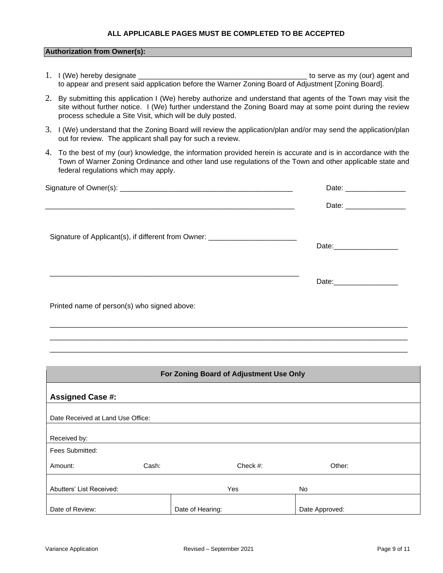#### **ALL APPLICABLE PAGES MUST BE COMPLETED TO BE ACCEPTED**

#### **Authorization from Owner(s):**

- 1. I (We) hereby designate \_\_\_\_\_\_\_\_\_\_\_\_\_\_\_\_\_\_\_\_\_\_\_\_\_\_\_\_\_\_\_\_\_\_\_\_\_\_\_\_\_\_ to serve as my (our) agent and to appear and present said application before the Warner Zoning Board of Adjustment [Zoning Board].
- 2. By submitting this application I (We) hereby authorize and understand that agents of the Town may visit the site without further notice. I (We) further understand the Zoning Board may at some point during the review process schedule a Site Visit, which will be duly posted.
- 3. I (We) understand that the Zoning Board will review the application/plan and/or may send the application/plan out for review. The applicant shall pay for such a review.
- 4. To the best of my (our) knowledge, the information provided herein is accurate and is in accordance with the Town of Warner Zoning Ordinance and other land use regulations of the Town and other applicable state and federal regulations which may apply.

|                                                                                  | Date: __________________       |  |
|----------------------------------------------------------------------------------|--------------------------------|--|
| ,我们就会在这里,我们的人们就会在这里,我们的人们就会在这里,我们的人们就会在这里,我们的人们就会在这里,我们的人们就会在这里,我们的人们就会在这里,我们的人们 |                                |  |
| Signature of Applicant(s), if different from Owner: ____________________________ | Date: ________________________ |  |
|                                                                                  |                                |  |
| Printed name of person(s) who signed above:                                      |                                |  |

\_\_\_\_\_\_\_\_\_\_\_\_\_\_\_\_\_\_\_\_\_\_\_\_\_\_\_\_\_\_\_\_\_\_\_\_\_\_\_\_\_\_\_\_\_\_\_\_\_\_\_\_\_\_\_\_\_\_\_\_\_\_\_\_\_\_\_\_\_\_\_\_\_\_\_\_\_\_\_\_\_\_\_\_\_\_\_\_\_ \_\_\_\_\_\_\_\_\_\_\_\_\_\_\_\_\_\_\_\_\_\_\_\_\_\_\_\_\_\_\_\_\_\_\_\_\_\_\_\_\_\_\_\_\_\_\_\_\_\_\_\_\_\_\_\_\_\_\_\_\_\_\_\_\_\_\_\_\_\_\_\_\_\_\_\_\_\_\_\_\_\_\_\_\_\_\_\_\_ \_\_\_\_\_\_\_\_\_\_\_\_\_\_\_\_\_\_\_\_\_\_\_\_\_\_\_\_\_\_\_\_\_\_\_\_\_\_\_\_\_\_\_\_\_\_\_\_\_\_\_\_\_\_\_\_\_\_\_\_\_\_\_\_\_\_\_\_\_\_\_\_\_\_\_\_\_\_\_\_\_\_\_\_\_\_\_\_\_

|                                   |       | For Zoning Board of Adjustment Use Only |                |  |
|-----------------------------------|-------|-----------------------------------------|----------------|--|
| <b>Assigned Case #:</b>           |       |                                         |                |  |
| Date Received at Land Use Office: |       |                                         |                |  |
| Received by:                      |       |                                         |                |  |
| Fees Submitted:                   |       |                                         |                |  |
| Amount:                           | Cash: | Check $#$ :                             | Other:         |  |
| Abutters' List Received:          |       | Yes                                     | No.            |  |
| Date of Review:                   |       | Date of Hearing:                        | Date Approved: |  |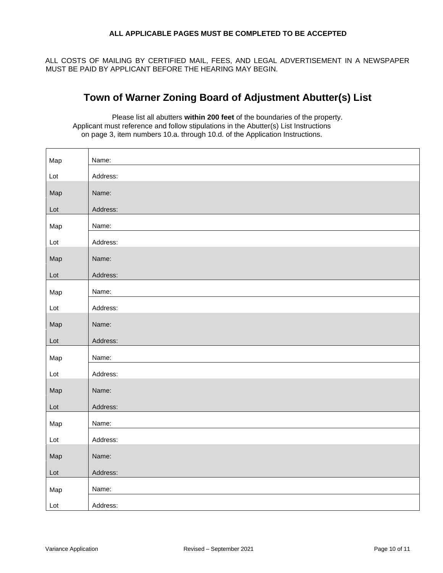#### **ALL APPLICABLE PAGES MUST BE COMPLETED TO BE ACCEPTED**

ALL COSTS OF MAILING BY CERTIFIED MAIL, FEES, AND LEGAL ADVERTISEMENT IN A NEWSPAPER MUST BE PAID BY APPLICANT BEFORE THE HEARING MAY BEGIN.

## **Town of Warner Zoning Board of Adjustment Abutter(s) List**

Please list all abutters **within 200 feet** of the boundaries of the property. Applicant must reference and follow stipulations in the Abutter(s) List Instructions on page 3, item numbers 10.a. through 10.d. of the Application Instructions.

| Map | Name:    |
|-----|----------|
| Lot | Address: |
| Map | Name:    |
| Lot | Address: |
| Map | Name:    |
| Lot | Address: |
| Map | Name:    |
| Lot | Address: |
| Map | Name:    |
| Lot | Address: |
| Map | Name:    |
| Lot | Address: |
| Map | Name:    |
| Lot | Address: |
| Map | Name:    |
| Lot | Address: |
| Map | Name:    |
| Lot | Address: |
| Map | Name:    |
| Lot | Address: |
| Map | Name:    |
| Lot | Address: |
|     |          |